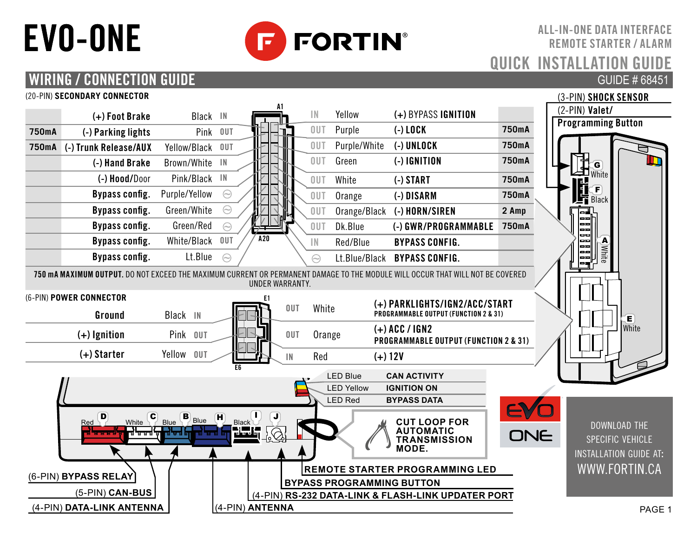# EVO-ONE



ALL-IN-ONE DATA INTERFACE REMOTE STARTER / ALARM QUICK INSTALLATION GU GUIDE # 68451

## WIRING / CONNECTION GUIDE

#### (20-PIN) **SECONDARY CONNECTOR**

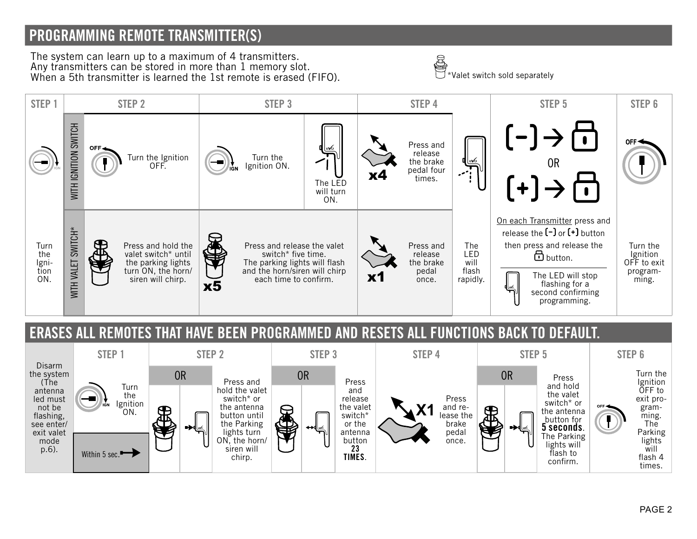#### PROGRAMMING REMOTE TRANSMITTER(S)

The system can learn up to a maximum of 4 transmitters. Any transmitters can be stored in more than 1 memory slot. The system can learn up to a maximum of 4 transmitters.<br>Any transmitters can be stored in more than 1 memory slot.<br>When a 5th transmitter is learned the 1st remote is erased (FIFO).



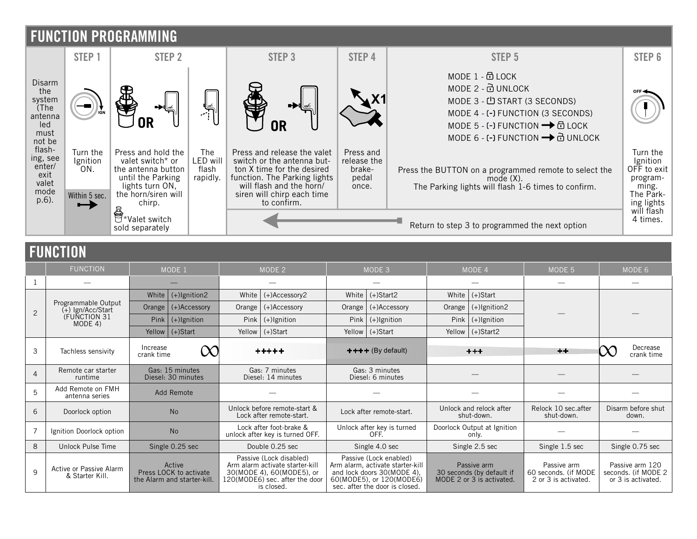

#### FUNCTION

| .              |                                                                       |                                       |                                                                 |                                                            |                                                                                                                                         |                                     |                                                                                                                                                        |                                                                       |                    |                                                             |                                                               |                             |
|----------------|-----------------------------------------------------------------------|---------------------------------------|-----------------------------------------------------------------|------------------------------------------------------------|-----------------------------------------------------------------------------------------------------------------------------------------|-------------------------------------|--------------------------------------------------------------------------------------------------------------------------------------------------------|-----------------------------------------------------------------------|--------------------|-------------------------------------------------------------|---------------------------------------------------------------|-----------------------------|
|                | <b>FUNCTION</b>                                                       | MODE 1                                |                                                                 | MODE 2                                                     |                                                                                                                                         | MODE 3                              |                                                                                                                                                        | MODE 4                                                                |                    | MODE 5                                                      | MODE 6                                                        |                             |
|                |                                                                       |                                       |                                                                 |                                                            |                                                                                                                                         |                                     |                                                                                                                                                        |                                                                       |                    |                                                             |                                                               |                             |
| $\overline{2}$ | Programmable Output<br>$(+)$ lgn/Acc/Start<br>(FUNCTION 31<br>MODE 4) | White                                 | $(+)$ Ignition2                                                 | White                                                      | (+)Accessory2                                                                                                                           | White                               | $(+)$ Start2                                                                                                                                           | White                                                                 | $(+)$ Start        |                                                             |                                                               |                             |
|                |                                                                       | Orange                                | $(+)$ Accessory                                                 | Orange                                                     | (+)Accessory                                                                                                                            | Orange                              | (+)Accessory                                                                                                                                           | Orange                                                                | (+)Ignition2       |                                                             |                                                               |                             |
|                |                                                                       |                                       | $Pink$ (+) Ignition                                             |                                                            | $Pink$ (+) Ignition                                                                                                                     |                                     | Pink $(+)$ lgnition                                                                                                                                    |                                                                       | $Pink$ (+)Ignition |                                                             |                                                               |                             |
|                |                                                                       | Yellow                                | $(+)$ Start                                                     |                                                            | Yellow   (+)Start                                                                                                                       |                                     | Yellow (+)Start                                                                                                                                        |                                                                       | Yellow (+)Start2   |                                                             |                                                               |                             |
| 3              | Tachless sensivity                                                    | Increase<br>Œ<br>crank time           |                                                                 | $***+$                                                     |                                                                                                                                         | $++++$ (By default)                 |                                                                                                                                                        | $+ + +$                                                               |                    | $+ +$                                                       |                                                               | Decrease<br>crank time      |
| $\overline{A}$ | Remote car starter<br>runtime                                         | Gas: 15 minutes<br>Diesel: 30 minutes |                                                                 | Gas: 7 minutes<br>Diesel: 14 minutes                       |                                                                                                                                         | Gas: 3 minutes<br>Diesel: 6 minutes |                                                                                                                                                        |                                                                       |                    |                                                             |                                                               |                             |
| 5              | Add Remote on FMH<br>antenna series                                   | <b>Add Remote</b>                     |                                                                 |                                                            |                                                                                                                                         |                                     |                                                                                                                                                        |                                                                       |                    |                                                             |                                                               |                             |
| 6              | Doorlock option                                                       | <b>No</b>                             |                                                                 | Unlock before remote-start &<br>Lock after remote-start.   |                                                                                                                                         | Lock after remote-start.            |                                                                                                                                                        | Unlock and relock after<br>shut-down.                                 |                    | Relock 10 sec.after<br>shut-down.                           |                                                               | Disarm before shut<br>down. |
|                | Ignition Doorlock option                                              | <b>No</b>                             |                                                                 | Lock after foot-brake &<br>unlock after key is turned OFF. |                                                                                                                                         | Unlock after key is turned<br>OFF.  |                                                                                                                                                        | Doorlock Output at Ignition<br>only.                                  |                    |                                                             |                                                               |                             |
| 8              | Unlock Pulse Time                                                     | Single 0.25 sec                       |                                                                 | Double 0.25 sec                                            |                                                                                                                                         | Single 4.0 sec                      |                                                                                                                                                        | Single 2.5 sec                                                        |                    | Single 1.5 sec                                              | Single 0.75 sec                                               |                             |
| 9              | <b>Active or Passive Alarm</b><br>& Starter Kill.                     |                                       | Active<br>Press LOCK to activate<br>the Alarm and starter-kill. |                                                            | Passive (Lock disabled)<br>Arm alarm activate starter-kill<br>30(MODE 4), 60(MODE5), or<br>120(MODE6) sec. after the door<br>is closed. |                                     | Passive (Lock enabled)<br>Arm alarm, activate starter-kill<br>and lock doors 30(MODE 4).<br>60(MODE5), or 120(MODE6)<br>sec. after the door is closed. | Passive arm<br>30 seconds (by default if<br>MODE 2 or 3 is activated. |                    | Passive arm<br>60 seconds. (if MODE<br>2 or 3 is activated. | Passive arm 120<br>seconds. (if MODE 2)<br>or 3 is activated. |                             |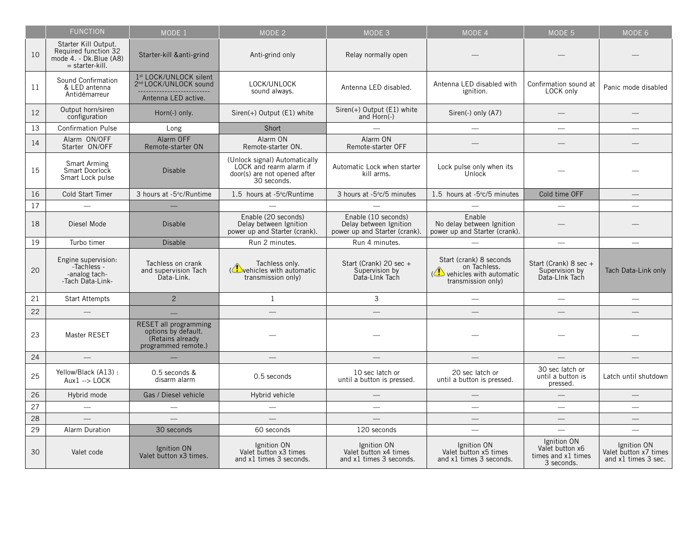|    | <b>FUNCTION</b>                                                                             | MODE 1                                                                                                 | MODE 2                                                                                                  | MODE 3                                                                         | MODE 4                                                                                   | MODE 5                                                             | MODE 6                                                      |
|----|---------------------------------------------------------------------------------------------|--------------------------------------------------------------------------------------------------------|---------------------------------------------------------------------------------------------------------|--------------------------------------------------------------------------------|------------------------------------------------------------------------------------------|--------------------------------------------------------------------|-------------------------------------------------------------|
| 10 | Starter Kill Output.<br>Required function 32<br>mode 4. - Dk.Blue (A8)<br>$=$ starter-kill. | Starter-kill &anti-grind                                                                               | Anti-grind only                                                                                         | Relay normally open                                                            |                                                                                          |                                                                    |                                                             |
| 11 | Sound Confirmation<br>& LED antenna<br>Antidémarreur                                        | 1st LOCK/UNLOCK silent<br>2nd LOCK/UNLOCK sound<br>---------------------------<br>Antenna I ED active. | LOCK/UNLOCK<br>sound always.                                                                            | Antenna LED disabled.                                                          | Antenna I FD disabled with<br>ignition.                                                  | Confirmation sound at<br>LOCK only                                 | Panic mode disabled                                         |
| 12 | Output horn/siren<br>configuration                                                          | Horn(-) only.                                                                                          | Siren(+) Output (E1) white                                                                              | Siren(+) Output (E1) white<br>and Horn(-)                                      | Siren(-) only (A7)                                                                       |                                                                    | -                                                           |
| 13 | <b>Confirmation Pulse</b>                                                                   | Long                                                                                                   | Short                                                                                                   |                                                                                | $\qquad \qquad -$                                                                        | $\overline{\phantom{0}}$                                           | $\overline{\phantom{0}}$                                    |
| 14 | Alarm ON/OFF<br>Starter ON/OFF                                                              | Alarm OFF<br>Remote-starter ON                                                                         | Alarm ON<br>Remote-starter ON.                                                                          | Alarm ON<br>Remote-starter OFF                                                 |                                                                                          |                                                                    | $-$                                                         |
| 15 | Smart Arming<br>Smart Doorlock<br>Smart Lock pulse                                          | Disable                                                                                                | (Unlock signal) Automatically<br>LOCK and rearm alarm if<br>door(s) are not opened after<br>30 seconds. | Automatic Lock when starter<br>kill arms.                                      | Lock pulse only when its<br>Unlock                                                       |                                                                    | -                                                           |
| 16 | Cold Start Timer                                                                            | 3 hours at -5°c/Runtime                                                                                | 1.5 hours at -5°c/Runtime                                                                               | 3 hours at -5°c/5 minutes                                                      | 1.5 hours at -5°c/5 minutes                                                              | Cold time OFF                                                      | $-$                                                         |
| 17 | $\overline{\phantom{0}}$                                                                    | -                                                                                                      | $\overline{\phantom{0}}$                                                                                | $\overline{\phantom{0}}$                                                       | $\overline{\phantom{m}}$                                                                 |                                                                    | $\overline{\phantom{0}}$                                    |
| 18 | Diesel Mode                                                                                 | Disable                                                                                                | Enable (20 seconds)<br>Delay between Ignition<br>power up and Starter (crank).                          | Enable (10 seconds)<br>Delay between lgnition<br>power up and Starter (crank). | <b>Fnable</b><br>No delay between lgnition<br>power up and Starter (crank).              |                                                                    |                                                             |
| 19 | Turbo timer                                                                                 | Disable                                                                                                | Run 2 minutes.                                                                                          | Run 4 minutes.                                                                 |                                                                                          |                                                                    | $\equiv$                                                    |
| 20 | Engine supervision:<br>-Tachless -<br>-analog tach-<br>-Tach Data-Link-                     | Tachless on crank<br>and supervision Tach<br>Data-Link.                                                | Tachless only.<br>(ehicles with automatic<br>transmission only)                                         | Start (Crank) 20 sec +<br>Supervision by<br>Data-Link Tach                     | Start (crank) 8 seconds<br>on Tachless.<br>vehicles with automatic<br>transmission only) | Start (Crank) 8 sec +<br>Supervision by<br>Data-Link Tach          | Tach Data-Link only                                         |
| 21 | <b>Start Attempts</b>                                                                       | $\overline{2}$                                                                                         | $\mathbf{1}$                                                                                            | 3                                                                              | $\overline{\phantom{a}}$                                                                 | $\equiv$                                                           | $\overline{\phantom{0}}$                                    |
| 22 | $\equiv$                                                                                    |                                                                                                        | $-$                                                                                                     | $-$                                                                            | $\equiv$                                                                                 | $\equiv$                                                           | $-$                                                         |
| 23 | Master RESET                                                                                | <b>RESET all programming</b><br>options by default.<br>(Retains already)<br>programmed remote.)        | -                                                                                                       | -                                                                              |                                                                                          |                                                                    |                                                             |
| 24 |                                                                                             |                                                                                                        |                                                                                                         |                                                                                |                                                                                          |                                                                    |                                                             |
| 25 | Yellow/Black (A13):<br>$Aux1 ->$ LOCK                                                       | 0.5 seconds &<br>disarm alarm                                                                          | 0.5 seconds                                                                                             | 10 sec latch or<br>until a button is pressed.                                  | 20 sec latch or<br>until a button is pressed.                                            | 30 sec latch or<br>until a button is<br>pressed.                   | Latch until shutdown                                        |
| 26 | Hybrid mode                                                                                 | Gas / Diesel vehicle                                                                                   | Hybrid vehicle                                                                                          |                                                                                |                                                                                          |                                                                    | $\qquad \qquad -$                                           |
| 27 | $\overline{\phantom{0}}$                                                                    | $\overline{\phantom{0}}$                                                                               | $\overline{\phantom{0}}$                                                                                | $\equiv$                                                                       | $\overline{\phantom{a}}$                                                                 | $\overline{\phantom{a}}$                                           | $\overline{\phantom{0}}$                                    |
| 28 | $\overline{\phantom{0}}$                                                                    | $\overline{\phantom{0}}$                                                                               | $-$                                                                                                     | $-$                                                                            |                                                                                          | $\overline{\phantom{m}}$                                           | $\overline{\phantom{0}}$                                    |
| 29 | Alarm Duration                                                                              | 30 seconds                                                                                             | 60 seconds                                                                                              | 120 seconds                                                                    | $\qquad \qquad -$                                                                        | $\overline{\phantom{0}}$                                           | $\overline{\phantom{0}}$                                    |
| 30 | Valet code                                                                                  | <b>Ignition ON</b><br>Valet button x3 times.                                                           | Ignition ON<br>Valet button x3 times<br>and x1 times 3 seconds.                                         | Ignition ON<br>Valet button x4 times<br>and x1 times 3 seconds.                | <b>Ignition ON</b><br>Valet button x5 times<br>and x1 times 3 seconds.                   | Ignition ON<br>Valet button x6<br>times and x1 times<br>3 seconds. | Ignition ON<br>Valet button x7 times<br>and x1 times 3 sec. |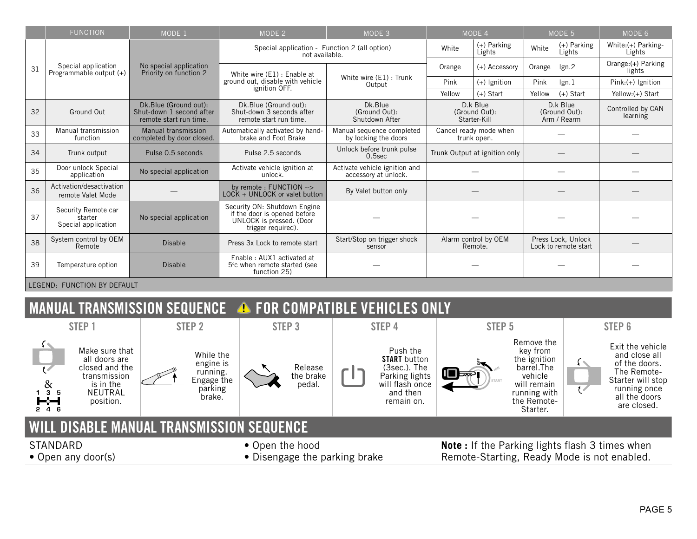|                             | <b>FUNCTION</b>                                                                 | MODE 1                                                                      | MODE 2                                                                                                         | MODE 3                                                |                                           | MODE 4       | MODE 5                                     |                              | MODE 6                        |
|-----------------------------|---------------------------------------------------------------------------------|-----------------------------------------------------------------------------|----------------------------------------------------------------------------------------------------------------|-------------------------------------------------------|-------------------------------------------|--------------|--------------------------------------------|------------------------------|-------------------------------|
| 31                          |                                                                                 |                                                                             | Special application - Function 2 (all option)<br>not available.                                                | White                                                 | (+) Parking<br>Lights                     | White        | (+) Parking<br>Lights                      | White:(+) Parking-<br>Lights |                               |
|                             | Special application<br>Programmable output (+)                                  | No special application<br>Priority on function 2                            | White wire (E1) : Enable at<br>ground out, disable with vehicle<br>ignition OFF.                               | White wire (E1) : Trunk<br>Output                     | (+) Accessory<br>Orange                   |              | Orange                                     | lgn.2                        | Orange:(+) Parking<br>lights  |
|                             |                                                                                 |                                                                             |                                                                                                                |                                                       | Pink                                      | (+) Ignition | Pink                                       | lgn.1                        | Pink:(+) lenition             |
|                             |                                                                                 |                                                                             |                                                                                                                |                                                       | Yellow                                    | $(+)$ Start  | Yellow                                     | $(+)$ Start                  | Yellow:(+) Start              |
| 32                          | Ground Out                                                                      | Dk.Blue (Ground out):<br>Shut-down 1 second after<br>remote start run time. | Dk.Blue (Ground out):<br>Shut-down 3 seconds after<br>remote start run time.                                   | Dk. Blue<br>(Ground Out):<br>Shutdown After           | D.k Blue<br>(Ground Out):<br>Starter-Kill |              | D.k Blue<br>(Ground Out):<br>Arm / Rearm   |                              | Controlled by CAN<br>learning |
| 33                          | Manual transmission<br>function                                                 | Manual transmission<br>completed by door closed.                            | Automatically activated by hand-<br>brake and Eoot Brake                                                       | Manual sequence completed<br>by locking the doors     | Cancel ready mode when<br>trunk open.     |              |                                            |                              |                               |
| 34                          | Trunk output                                                                    | Pulse 0.5 seconds                                                           | Pulse 2.5 seconds                                                                                              | Unlock before trunk pulse<br>$0.5$ sec                | Trunk Output at ignition only             |              |                                            |                              |                               |
| 35                          | Door unlock Special<br>application                                              | No special application                                                      | Activate vehicle ignition at<br>unlock.                                                                        | Activate vehicle ignition and<br>accessory at unlock. |                                           |              |                                            |                              |                               |
| 36                          | Activation/desactivation<br>remote Valet Mode                                   |                                                                             | by remote: FUNCTION --><br>LOCK + UNLOCK or valet button                                                       | By Valet button only                                  |                                           |              |                                            |                              |                               |
| 37                          | Security Remote car<br>No special application<br>starter<br>Special application |                                                                             | Security ON: Shutdown Engine<br>if the door is opened before<br>UNLOCK is pressed. (Door<br>trigger required). |                                                       |                                           |              |                                            |                              |                               |
| 38                          | System control by OEM<br>Remote                                                 | <b>Disable</b>                                                              | Press 3x Lock to remote start                                                                                  | Start/Stop on trigger shock<br>sensor                 | Alarm control by OEM<br>Remote.           |              | Press Lock, Unlock<br>Lock to remote start |                              |                               |
| 39                          | <b>Disable</b><br>Temperature option                                            |                                                                             | Enable: AUX1 activated at<br>5°c when remote started (see<br>function 25)                                      |                                                       |                                           |              |                                            |                              |                               |
| LEGEND: FUNCTION BY DEFAULT |                                                                                 |                                                                             |                                                                                                                |                                                       |                                           |              |                                            |                              |                               |

## MANUAL TRANSMISSION SEQUENCE **A** FOR COMPATIBLE VEHICLES ONLY